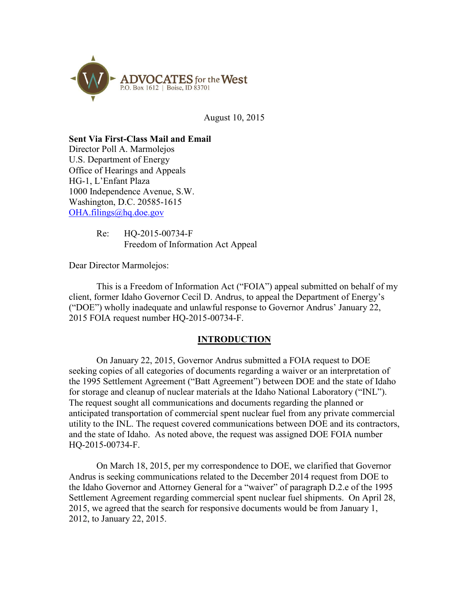

August 10, 2015

#### **Sent Via First-Class Mail and Email**

Director Poll A. Marmolejos U.S. Department of Energy Office of Hearings and Appeals HG-1, L'Enfant Plaza 1000 Independence Avenue, S.W. Washington, D.C. 20585-1615  $OHA.$ filings@hq.doe.gov

> Re: HQ-2015-00734-F Freedom of Information Act Appeal

Dear Director Marmolejos:

This is a Freedom of Information Act ("FOIA") appeal submitted on behalf of my client, former Idaho Governor Cecil D. Andrus, to appeal the Department of Energy's ("DOE") wholly inadequate and unlawful response to Governor Andrus' January 22, 2015 FOIA request number HQ-2015-00734-F.

## **INTRODUCTION**

On January 22, 2015, Governor Andrus submitted a FOIA request to DOE seeking copies of all categories of documents regarding a waiver or an interpretation of the 1995 Settlement Agreement ("Batt Agreement") between DOE and the state of Idaho for storage and cleanup of nuclear materials at the Idaho National Laboratory ("INL"). The request sought all communications and documents regarding the planned or anticipated transportation of commercial spent nuclear fuel from any private commercial utility to the INL. The request covered communications between DOE and its contractors, and the state of Idaho. As noted above, the request was assigned DOE FOIA number HQ-2015-00734-F.

On March 18, 2015, per my correspondence to DOE, we clarified that Governor Andrus is seeking communications related to the December 2014 request from DOE to the Idaho Governor and Attorney General for a "waiver" of paragraph D.2.e of the 1995 Settlement Agreement regarding commercial spent nuclear fuel shipments. On April 28, 2015, we agreed that the search for responsive documents would be from January 1, 2012, to January 22, 2015.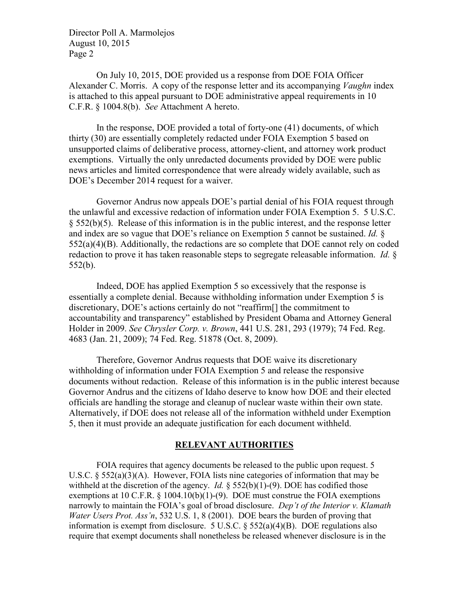On July 10, 2015, DOE provided us a response from DOE FOIA Officer Alexander C. Morris. A copy of the response letter and its accompanying *Vaughn* index is attached to this appeal pursuant to DOE administrative appeal requirements in 10 C.F.R. § 1004.8(b). *See* Attachment A hereto.

In the response, DOE provided a total of forty-one (41) documents, of which thirty (30) are essentially completely redacted under FOIA Exemption 5 based on unsupported claims of deliberative process, attorney-client, and attorney work product exemptions. Virtually the only unredacted documents provided by DOE were public news articles and limited correspondence that were already widely available, such as DOE's December 2014 request for a waiver.

Governor Andrus now appeals DOE's partial denial of his FOIA request through the unlawful and excessive redaction of information under FOIA Exemption 5. 5 U.S.C. § 552(b)(5). Release of this information is in the public interest, and the response letter and index are so vague that DOE's reliance on Exemption 5 cannot be sustained. *Id.* §  $552(a)(4)(B)$ . Additionally, the redactions are so complete that DOE cannot rely on coded redaction to prove it has taken reasonable steps to segregate releasable information. *Id.* § 552(b).

Indeed, DOE has applied Exemption 5 so excessively that the response is essentially a complete denial. Because withholding information under Exemption 5 is discretionary, DOE's actions certainly do not "reaffirm[] the commitment to accountability and transparency" established by President Obama and Attorney General Holder in 2009. *See Chrysler Corp. v. Brown*, 441 U.S. 281, 293 (1979); 74 Fed. Reg. 4683 (Jan. 21, 2009); 74 Fed. Reg. 51878 (Oct. 8, 2009).

Therefore, Governor Andrus requests that DOE waive its discretionary withholding of information under FOIA Exemption 5 and release the responsive documents without redaction. Release of this information is in the public interest because Governor Andrus and the citizens of Idaho deserve to know how DOE and their elected officials are handling the storage and cleanup of nuclear waste within their own state. Alternatively, if DOE does not release all of the information withheld under Exemption 5, then it must provide an adequate justification for each document withheld.

### **RELEVANT AUTHORITIES**

FOIA requires that agency documents be released to the public upon request. 5 U.S.C. § 552(a)(3)(A). However, FOIA lists nine categories of information that may be withheld at the discretion of the agency. *Id.* § 552(b)(1)-(9). DOE has codified those exemptions at 10 C.F.R.  $\S$  1004.10(b)(1)-(9). DOE must construe the FOIA exemptions narrowly to maintain the FOIA's goal of broad disclosure. *Dep't of the Interior v. Klamath Water Users Prot. Ass'n*, 532 U.S. 1, 8 (2001). DOE bears the burden of proving that information is exempt from disclosure. 5 U.S.C. § 552(a)(4)(B). DOE regulations also require that exempt documents shall nonetheless be released whenever disclosure is in the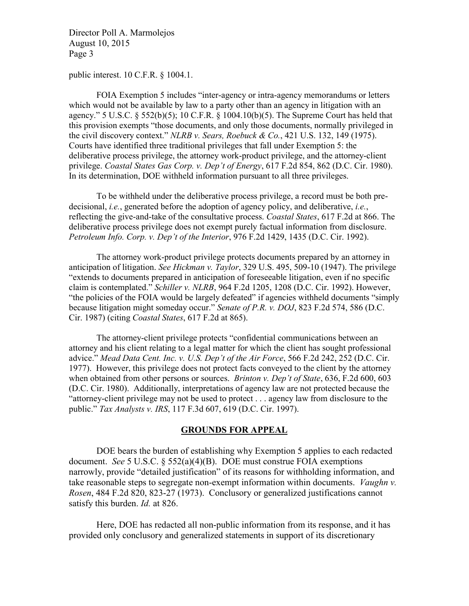public interest. 10 C.F.R. § 1004.1.

FOIA Exemption 5 includes "inter-agency or intra-agency memorandums or letters which would not be available by law to a party other than an agency in litigation with an agency." 5 U.S.C.  $\S$  552(b)(5); 10 C.F.R.  $\S$  1004.10(b)(5). The Supreme Court has held that this provision exempts "those documents, and only those documents, normally privileged in the civil discovery context." *NLRB v. Sears, Roebuck & Co.*, 421 U.S. 132, 149 (1975). Courts have identified three traditional privileges that fall under Exemption 5: the deliberative process privilege, the attorney work-product privilege, and the attorney-client privilege. *Coastal States Gas Corp. v. Dep't of Energy*, 617 F.2d 854, 862 (D.C. Cir. 1980). In its determination, DOE withheld information pursuant to all three privileges.

To be withheld under the deliberative process privilege, a record must be both predecisional, *i.e.*, generated before the adoption of agency policy, and deliberative, *i.e.*, reflecting the give-and-take of the consultative process. *Coastal States*, 617 F.2d at 866. The deliberative process privilege does not exempt purely factual information from disclosure. *Petroleum Info. Corp. v. Dep't of the Interior*, 976 F.2d 1429, 1435 (D.C. Cir. 1992).

The attorney work-product privilege protects documents prepared by an attorney in anticipation of litigation. *See Hickman v. Taylor*, 329 U.S. 495, 509-10 (1947). The privilege "extends to documents prepared in anticipation of foreseeable litigation, even if no specific claim is contemplated." *Schiller v. NLRB*, 964 F.2d 1205, 1208 (D.C. Cir. 1992). However, "the policies of the FOIA would be largely defeated" if agencies withheld documents "simply because litigation might someday occur." *Senate of P.R. v. DOJ*, 823 F.2d 574, 586 (D.C. Cir. 1987) (citing *Coastal States*, 617 F.2d at 865).

The attorney-client privilege protects "confidential communications between an attorney and his client relating to a legal matter for which the client has sought professional advice." *Mead Data Cent. Inc. v. U.S. Dep't of the Air Force*, 566 F.2d 242, 252 (D.C. Cir. 1977). However, this privilege does not protect facts conveyed to the client by the attorney when obtained from other persons or sources. *Brinton v. Dep't of State*, 636, F.2d 600, 603 (D.C. Cir. 1980). Additionally, interpretations of agency law are not protected because the "attorney-client privilege may not be used to protect . . . agency law from disclosure to the public." *Tax Analysts v. IRS*, 117 F.3d 607, 619 (D.C. Cir. 1997).

# **GROUNDS FOR APPEAL**

DOE bears the burden of establishing why Exemption 5 applies to each redacted document. *See* 5 U.S.C. § 552(a)(4)(B). DOE must construe FOIA exemptions narrowly, provide "detailed justification" of its reasons for withholding information, and take reasonable steps to segregate non-exempt information within documents. *Vaughn v. Rosen*, 484 F.2d 820, 823-27 (1973). Conclusory or generalized justifications cannot satisfy this burden. *Id.* at 826.

Here, DOE has redacted all non-public information from its response, and it has provided only conclusory and generalized statements in support of its discretionary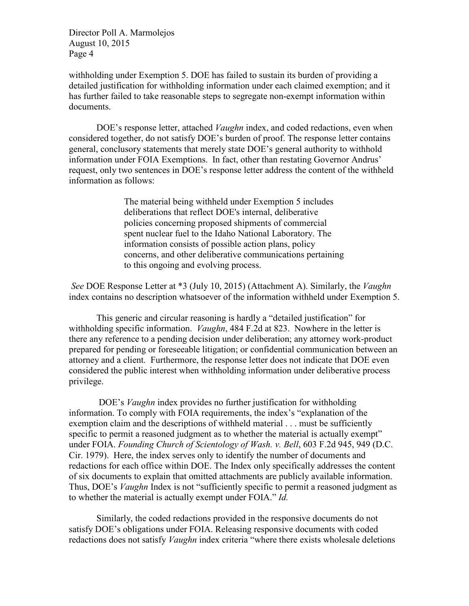withholding under Exemption 5. DOE has failed to sustain its burden of providing a detailed justification for withholding information under each claimed exemption; and it has further failed to take reasonable steps to segregate non-exempt information within documents.

DOE's response letter, attached *Vaughn* index, and coded redactions, even when considered together, do not satisfy DOE's burden of proof. The response letter contains general, conclusory statements that merely state DOE's general authority to withhold information under FOIA Exemptions. In fact, other than restating Governor Andrus' request, only two sentences in DOE's response letter address the content of the withheld information as follows:

> The material being withheld under Exemption 5 includes deliberations that reflect DOE's internal, deliberative policies concerning proposed shipments of commercial spent nuclear fuel to the Idaho National Laboratory. The information consists of possible action plans, policy concerns, and other deliberative communications pertaining to this ongoing and evolving process.

*See* DOE Response Letter at \*3 (July 10, 2015) (Attachment A). Similarly, the *Vaughn* index contains no description whatsoever of the information withheld under Exemption 5.

This generic and circular reasoning is hardly a "detailed justification" for withholding specific information. *Vaughn*, 484 F.2d at 823. Nowhere in the letter is there any reference to a pending decision under deliberation; any attorney work-product prepared for pending or foreseeable litigation; or confidential communication between an attorney and a client. Furthermore, the response letter does not indicate that DOE even considered the public interest when withholding information under deliberative process privilege.

DOE's *Vaughn* index provides no further justification for withholding information. To comply with FOIA requirements, the index's "explanation of the exemption claim and the descriptions of withheld material . . . must be sufficiently specific to permit a reasoned judgment as to whether the material is actually exempt" under FOIA. *Founding Church of Scientology of Wash. v. Bell*, 603 F.2d 945, 949 (D.C. Cir. 1979). Here, the index serves only to identify the number of documents and redactions for each office within DOE. The Index only specifically addresses the content of six documents to explain that omitted attachments are publicly available information. Thus, DOE's *Vaughn* Index is not "sufficiently specific to permit a reasoned judgment as to whether the material is actually exempt under FOIA." *Id.*

Similarly, the coded redactions provided in the responsive documents do not satisfy DOE's obligations under FOIA. Releasing responsive documents with coded redactions does not satisfy *Vaughn* index criteria "where there exists wholesale deletions